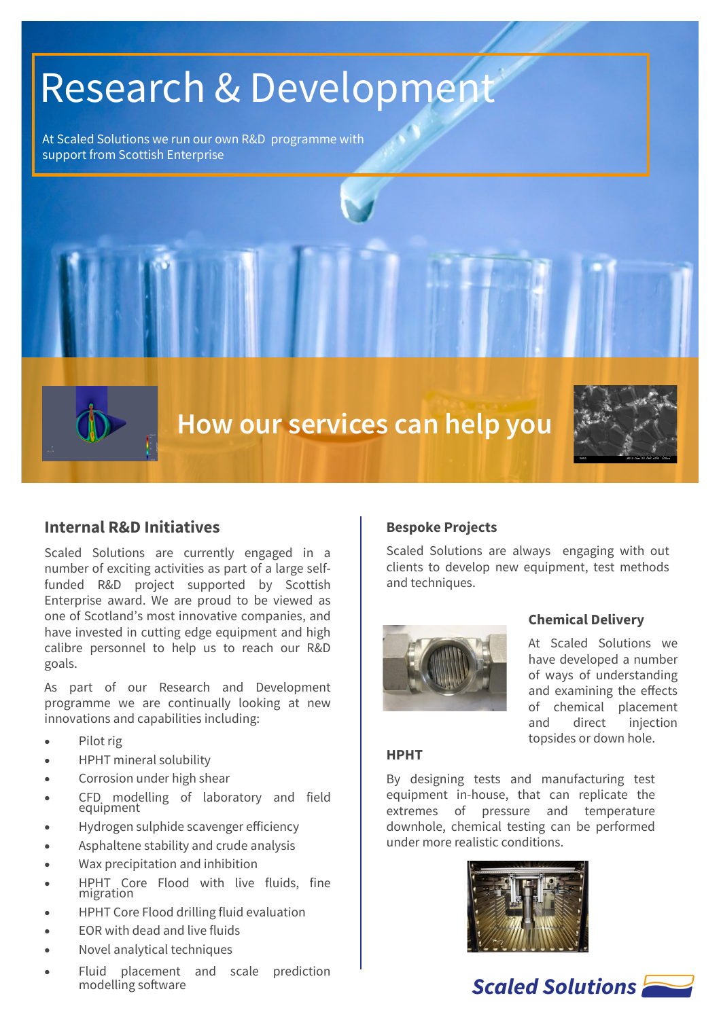# Research & Development

At Scaled Solutions we run our own R&D programme with support from Scottish Enterprise



# **Internal R&D Initiatives**

Scaled Solutions are currently engaged in a number of exciting activities as part of a large selffunded R&D project supported by Scottish Enterprise award. We are proud to be viewed as one of Scotland's most innovative companies, and have invested in cutting edge equipment and high calibre personnel to help us to reach our R&D goals.

As part of our Research and Development programme we are continually looking at new innovations and capabilities including:

- Pilot rig
- HPHT mineral solubility
- Corrosion under high shear
- CFD modelling of laboratory and field equipment
- Hydrogen sulphide scavenger efficiency
- Asphaltene stability and crude analysis
- Wax precipitation and inhibition
- HPHT Core Flood with live fluids, fine migration
- HPHT Core Flood drilling fluid evaluation
- EOR with dead and live fluids
- Novel analytical techniques
- Fluid placement and scale prediction modelling software

### **Bespoke Projects**

Scaled Solutions are always engaging with out clients to develop new equipment, test methods and techniques.



### **Chemical Delivery**

At Scaled Solutions we have developed a number of ways of understanding and examining the effects of chemical placement and direct injection topsides or down hole.

#### **HPHT**

By designing tests and manufacturing test equipment in-house, that can replicate the extremes of pressure and temperature downhole, chemical testing can be performed under more realistic conditions.